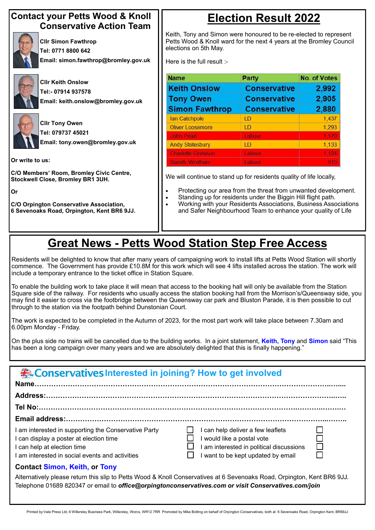#### **Contact your Petts Wood & Knoll Conservative Action Team**



**Cllr Simon Fawthrop Tel: 0771 8800 642 Email: simon.fawthrop@bromley.gov.uk**



**Cllr Keith Onslow Tel:- 07914 937578 Email: keith.onslow@bromley.gov.uk**



**Cllr Tony Owen Tel: 079737 45021 Email: tony.owen@bromley.gov.uk**

**Or write to us:**

**C/O Members' Room, Bromley Civic Centre, Stockwell Close, Bromley BR1 3UH.**

**Or**

**C/O Orpington Conservative Association, 6 Sevenoaks Road, Orpington, Kent BR6 9JJ.** 

## **Election Result 2022**

| <b>Example 12 September 2016 / September 2016 / September 2016 / September 2016 / September 2016 / September 2016 / September 2016 / September 2016 / September 2016 / September 2016 / September 2016 / September 2016 / Septem</b> |
|--------------------------------------------------------------------------------------------------------------------------------------------------------------------------------------------------------------------------------------|
|                                                                                                                                                                                                                                      |
|                                                                                                                                                                                                                                      |

Keith, Tony and Simon were honoured to be re-elected to represent Petts Wood & Knoll ward for the next 4 years at the Bromley Council elections on 5th May.

Here is the full result :-

| <b>Name</b>               | Party               | <b>No. of Votes</b> |
|---------------------------|---------------------|---------------------|
| <b>Keith Onslow</b>       | <b>Conservative</b> | 2,992               |
| <b>Tony Owen</b>          | <b>Conservative</b> | 2,905               |
| <b>Simon Fawthrop</b>     | <b>Conservative</b> | 2,880               |
| lan Catchpole             | LD                  | 1,437               |
| <b>Oliver Loosemore</b>   | LD                  | 1,293               |
| <b>John Pead</b>          | Labour              | 1,170               |
| <b>Andy Stotesbury</b>    | LD                  | 1,133               |
| <b>Charlotte Grievson</b> | Labour              | 18124               |
| <b>Gareth Wretham</b>     | Labour              | 915                 |

We will continue to stand up for residents quality of life locally,

- Protecting our area from the threat from unwanted development.
- Standing up for residents under the Biggin Hill flight path.
- Working with your Residents Associations, Business Associations and Safer Neighbourhood Team to enhance your quality of Life

#### **Tel No:……………………………………………………………………………………………….………..…….…**

#### **Email address:………………………………………………………………………………………………...……..**

I am interested in supporting the Conservative Party  $\Box$  I can help deliver a few leaflets I can display a poster at election time  $\Box$  I would like a postal vote I can help at election time  $\Box$  I am interested in political discussions

I am interested in social events and activities  $\Box$  I want to be kept updated by email

#### **Contact Simon, Keith, or Tony**

Alternatively please return this slip to Petts Wood & Knoll Conservatives at 6 Sevenoaks Road, Orpington, Kent BR6 9JJ. Telephone 01689 820347 or email to *office@orpingtonconservatives.com or visit Conservatives.com/join*

Printed by:Vale Press Ltd, 6 Willersley Business Park, Willersley, Worcs, WR12 7RR Promoted by Mike Botting on behalf of Orpington Conservatives, both at 6 Sevenoaks Road, Orpington Kent, BR69JJ

### **Great News - Petts Wood Station Step Free Access**

Residents will be delighted to know that after many years of campaigning work to install lifts at Petts Wood Station will shortly commence. The Government has provide £10.8M for this work which will see 4 lifts installed across the station. The work will include a temporary entrance to the ticket office in Station Square.

To enable the building work to take place it will mean that access to the booking hall will only be available from the Station Square side of the railway. For residents who usually access the station booking hall from the Morrison's/Queensway side, you may find it easier to cross via the footbridge between the Queensway car park and Bluston Parade, it is then possible to cut through to the station via the footpath behind Dunstonian Court.

The work is expected to be completed in the Autumn of 2023, for the most part work will take place between 7.30am and 6.00pm Monday - Friday.

On the plus side no trains will be cancelled due to the building works. In a joint statement, **Keith, Tony** and **Simon** said "This has been a long campaign over many years and we are absolutely delighted that this is finally happening."